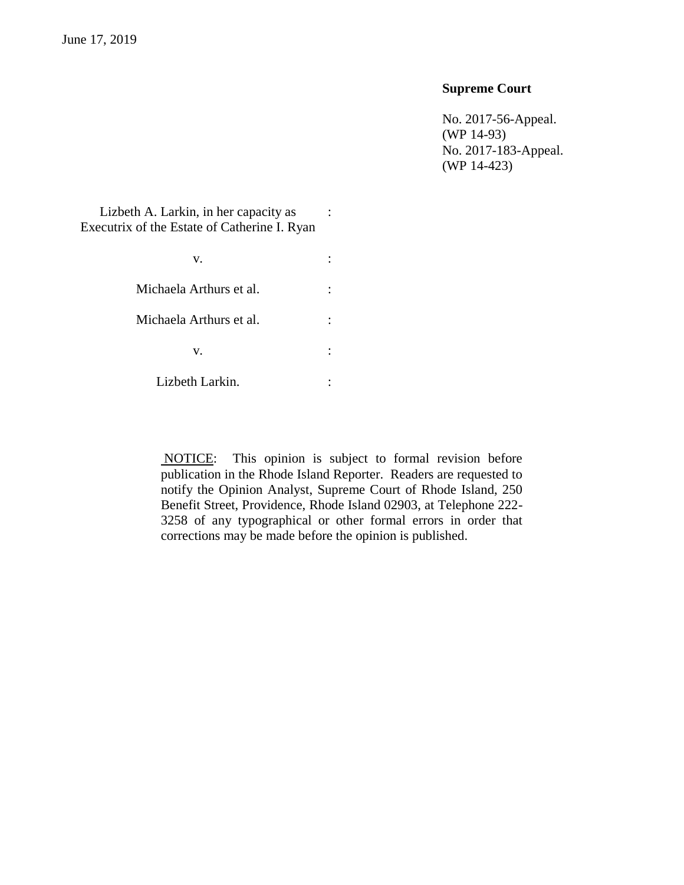# **Supreme Court**

No. 2017-56-Appeal. (WP 14-93) No. 2017-183-Appeal. (WP 14-423)

Lizbeth A. Larkin, in her capacity as Executrix of the Estate of Catherine I. Ryan

> $\mathbf{v}$ .  $\vdots$ Michaela Arthurs et al.  $\vdots$ Michaela Arthurs et al.  $\cdot$  :  $\mathbf{v}$ .  $\qquad \qquad$  : Lizbeth Larkin. :

> > NOTICE: This opinion is subject to formal revision before publication in the Rhode Island Reporter. Readers are requested to notify the Opinion Analyst, Supreme Court of Rhode Island, 250 Benefit Street, Providence, Rhode Island 02903, at Telephone 222- 3258 of any typographical or other formal errors in order that corrections may be made before the opinion is published.

: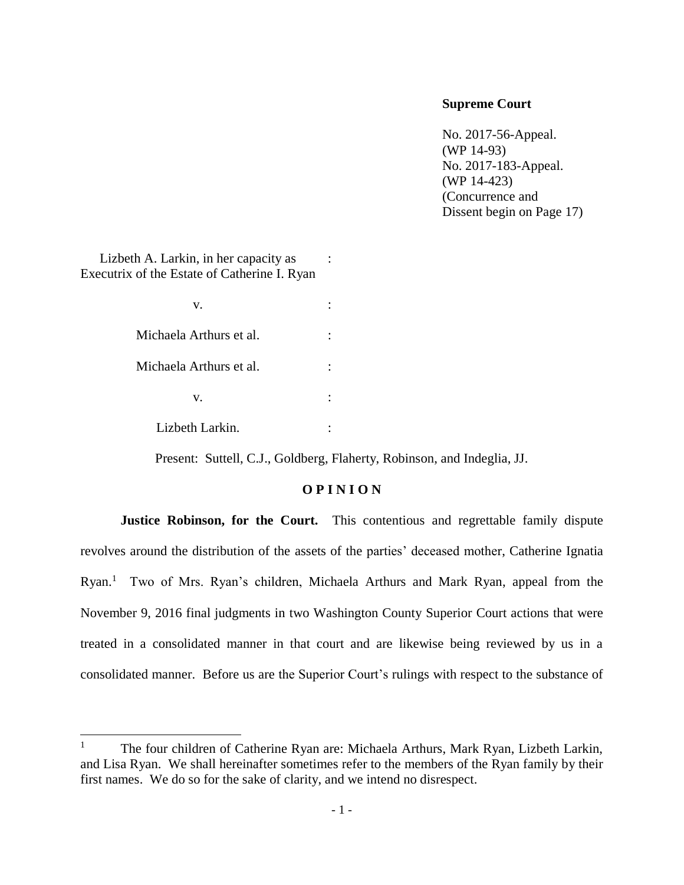# **Supreme Court**

No. 2017-56-Appeal. (WP 14-93) No. 2017-183-Appeal. (WP 14-423) (Concurrence and Dissent begin on Page 17)

Lizbeth A. Larkin, in her capacity as Executrix of the Estate of Catherine I. Ryan :

 $\overline{\phantom{a}}$ 

| V.                      |  |
|-------------------------|--|
| Michaela Arthurs et al. |  |
| Michaela Arthurs et al. |  |
| V.                      |  |
| Lizbeth Larkin.         |  |

Present: Suttell, C.J., Goldberg, Flaherty, Robinson, and Indeglia, JJ.

# **O P I N I O N**

**Justice Robinson, for the Court.** This contentious and regrettable family dispute revolves around the distribution of the assets of the parties' deceased mother, Catherine Ignatia Ryan.<sup>1</sup> Two of Mrs. Ryan's children, Michaela Arthurs and Mark Ryan, appeal from the November 9, 2016 final judgments in two Washington County Superior Court actions that were treated in a consolidated manner in that court and are likewise being reviewed by us in a consolidated manner. Before us are the Superior Court's rulings with respect to the substance of

<sup>&</sup>lt;sup>1</sup> The four children of Catherine Ryan are: Michaela Arthurs, Mark Ryan, Lizbeth Larkin, and Lisa Ryan. We shall hereinafter sometimes refer to the members of the Ryan family by their first names. We do so for the sake of clarity, and we intend no disrespect.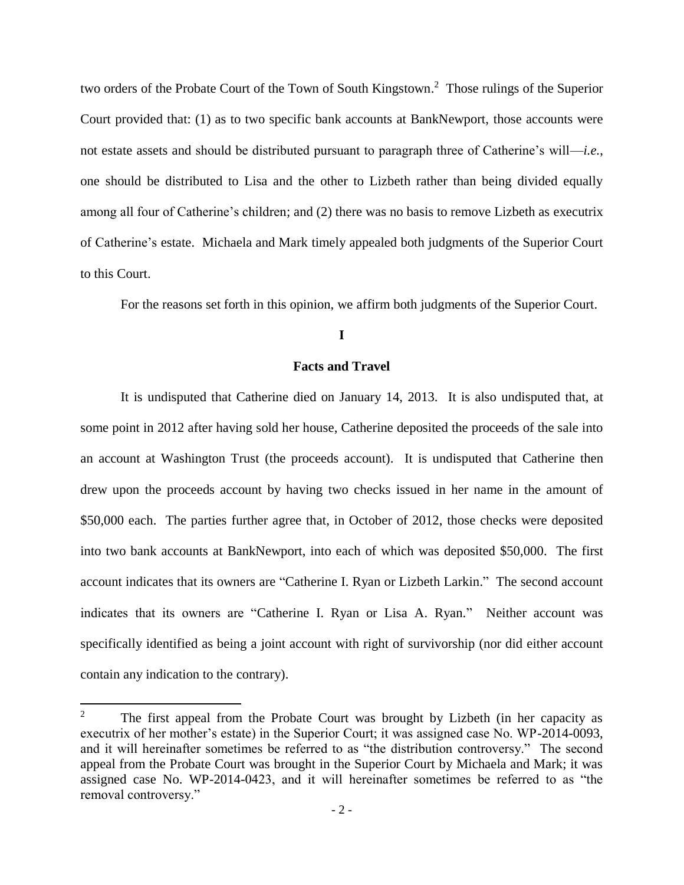two orders of the Probate Court of the Town of South Kingstown. 2 Those rulings of the Superior Court provided that: (1) as to two specific bank accounts at BankNewport, those accounts were not estate assets and should be distributed pursuant to paragraph three of Catherine's will—*i.e.*, one should be distributed to Lisa and the other to Lizbeth rather than being divided equally among all four of Catherine's children; and (2) there was no basis to remove Lizbeth as executrix of Catherine's estate. Michaela and Mark timely appealed both judgments of the Superior Court to this Court.

For the reasons set forth in this opinion, we affirm both judgments of the Superior Court.

# **I**

#### **Facts and Travel**

It is undisputed that Catherine died on January 14, 2013. It is also undisputed that, at some point in 2012 after having sold her house, Catherine deposited the proceeds of the sale into an account at Washington Trust (the proceeds account). It is undisputed that Catherine then drew upon the proceeds account by having two checks issued in her name in the amount of \$50,000 each. The parties further agree that, in October of 2012, those checks were deposited into two bank accounts at BankNewport, into each of which was deposited \$50,000. The first account indicates that its owners are "Catherine I. Ryan or Lizbeth Larkin." The second account indicates that its owners are "Catherine I. Ryan or Lisa A. Ryan." Neither account was specifically identified as being a joint account with right of survivorship (nor did either account contain any indication to the contrary).

l

<sup>&</sup>lt;sup>2</sup> The first appeal from the Probate Court was brought by Lizbeth (in her capacity as executrix of her mother's estate) in the Superior Court; it was assigned case No. WP-2014-0093, and it will hereinafter sometimes be referred to as "the distribution controversy." The second appeal from the Probate Court was brought in the Superior Court by Michaela and Mark; it was assigned case No. WP-2014-0423, and it will hereinafter sometimes be referred to as "the removal controversy."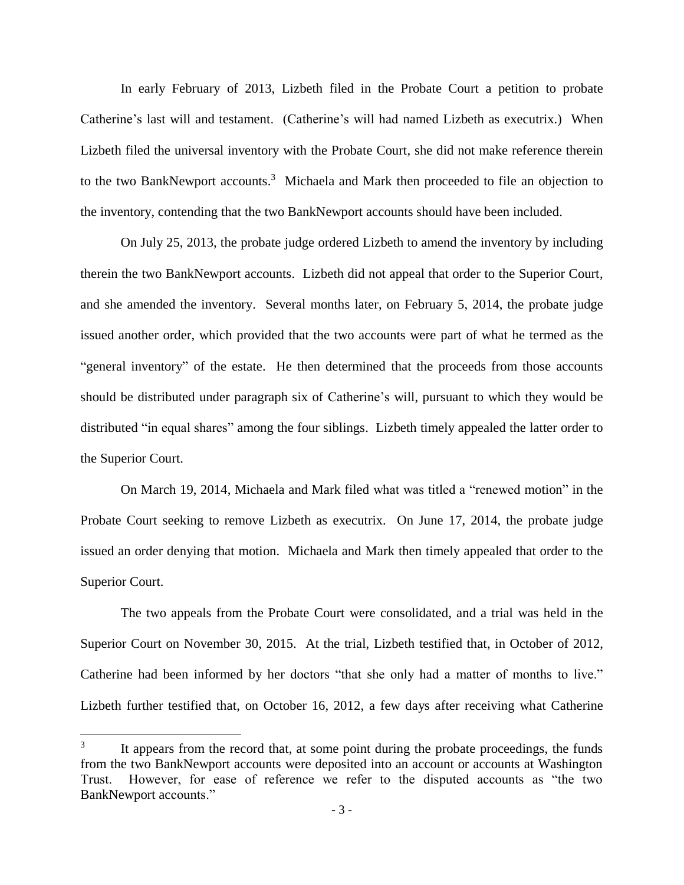In early February of 2013, Lizbeth filed in the Probate Court a petition to probate Catherine's last will and testament. (Catherine's will had named Lizbeth as executrix.) When Lizbeth filed the universal inventory with the Probate Court, she did not make reference therein to the two BankNewport accounts.<sup>3</sup> Michaela and Mark then proceeded to file an objection to the inventory, contending that the two BankNewport accounts should have been included.

On July 25, 2013, the probate judge ordered Lizbeth to amend the inventory by including therein the two BankNewport accounts. Lizbeth did not appeal that order to the Superior Court, and she amended the inventory. Several months later, on February 5, 2014, the probate judge issued another order, which provided that the two accounts were part of what he termed as the "general inventory" of the estate. He then determined that the proceeds from those accounts should be distributed under paragraph six of Catherine's will, pursuant to which they would be distributed "in equal shares" among the four siblings. Lizbeth timely appealed the latter order to the Superior Court.

On March 19, 2014, Michaela and Mark filed what was titled a "renewed motion" in the Probate Court seeking to remove Lizbeth as executrix. On June 17, 2014, the probate judge issued an order denying that motion. Michaela and Mark then timely appealed that order to the Superior Court.

The two appeals from the Probate Court were consolidated, and a trial was held in the Superior Court on November 30, 2015. At the trial, Lizbeth testified that, in October of 2012, Catherine had been informed by her doctors "that she only had a matter of months to live." Lizbeth further testified that, on October 16, 2012, a few days after receiving what Catherine

<sup>3</sup> It appears from the record that, at some point during the probate proceedings, the funds from the two BankNewport accounts were deposited into an account or accounts at Washington Trust. However, for ease of reference we refer to the disputed accounts as "the two BankNewport accounts."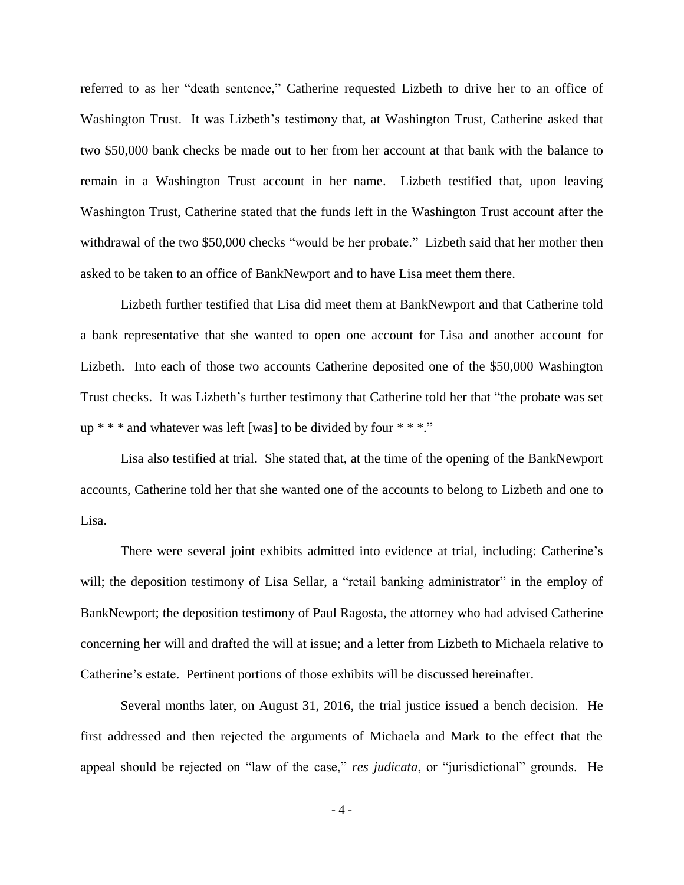referred to as her "death sentence," Catherine requested Lizbeth to drive her to an office of Washington Trust. It was Lizbeth's testimony that, at Washington Trust, Catherine asked that two \$50,000 bank checks be made out to her from her account at that bank with the balance to remain in a Washington Trust account in her name. Lizbeth testified that, upon leaving Washington Trust, Catherine stated that the funds left in the Washington Trust account after the withdrawal of the two \$50,000 checks "would be her probate." Lizbeth said that her mother then asked to be taken to an office of BankNewport and to have Lisa meet them there.

Lizbeth further testified that Lisa did meet them at BankNewport and that Catherine told a bank representative that she wanted to open one account for Lisa and another account for Lizbeth. Into each of those two accounts Catherine deposited one of the \$50,000 Washington Trust checks. It was Lizbeth's further testimony that Catherine told her that "the probate was set up  $***$  and whatever was left [was] to be divided by four  $***$ ."

Lisa also testified at trial. She stated that, at the time of the opening of the BankNewport accounts, Catherine told her that she wanted one of the accounts to belong to Lizbeth and one to Lisa.

There were several joint exhibits admitted into evidence at trial, including: Catherine's will; the deposition testimony of Lisa Sellar, a "retail banking administrator" in the employ of BankNewport; the deposition testimony of Paul Ragosta, the attorney who had advised Catherine concerning her will and drafted the will at issue; and a letter from Lizbeth to Michaela relative to Catherine's estate. Pertinent portions of those exhibits will be discussed hereinafter.

Several months later, on August 31, 2016, the trial justice issued a bench decision. He first addressed and then rejected the arguments of Michaela and Mark to the effect that the appeal should be rejected on "law of the case," *res judicata*, or "jurisdictional" grounds. He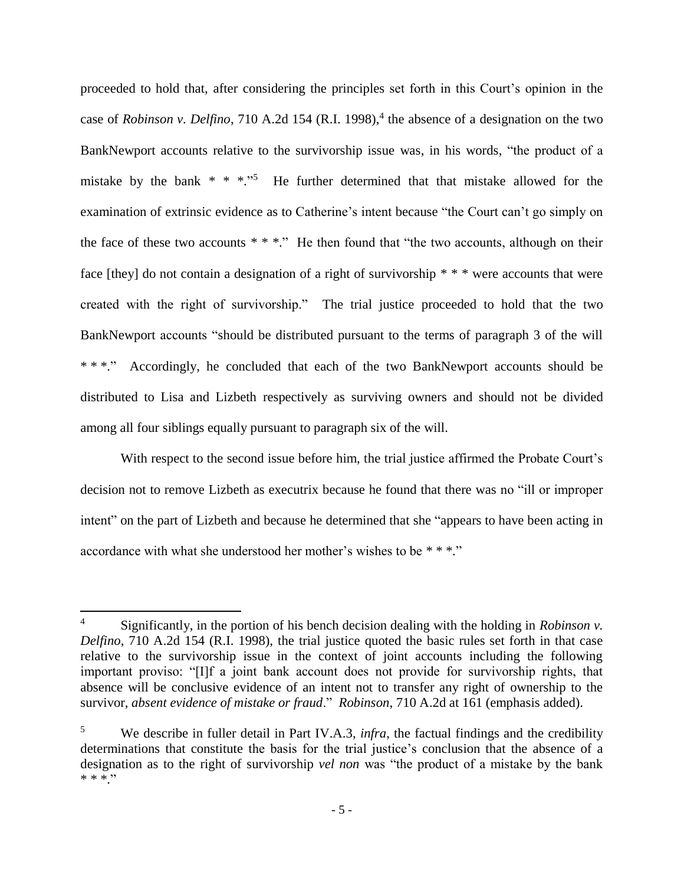proceeded to hold that, after considering the principles set forth in this Court's opinion in the case of *Robinson v. Delfino*, 710 A.2d 154 (R.I. 1998), 4 the absence of a designation on the two BankNewport accounts relative to the survivorship issue was, in his words, "the product of a mistake by the bank  $* * *$ .<sup>5</sup> He further determined that that mistake allowed for the examination of extrinsic evidence as to Catherine's intent because "the Court can't go simply on the face of these two accounts  $***$ ." He then found that "the two accounts, although on their face [they] do not contain a designation of a right of survivorship \* \* \* were accounts that were created with the right of survivorship." The trial justice proceeded to hold that the two BankNewport accounts "should be distributed pursuant to the terms of paragraph 3 of the will \* \* \*." Accordingly, he concluded that each of the two BankNewport accounts should be distributed to Lisa and Lizbeth respectively as surviving owners and should not be divided among all four siblings equally pursuant to paragraph six of the will.

With respect to the second issue before him, the trial justice affirmed the Probate Court's decision not to remove Lizbeth as executrix because he found that there was no "ill or improper intent" on the part of Lizbeth and because he determined that she "appears to have been acting in accordance with what she understood her mother's wishes to be \* \* \*."

<sup>4</sup> Significantly, in the portion of his bench decision dealing with the holding in *Robinson v. Delfino*, 710 A.2d 154 (R.I. 1998), the trial justice quoted the basic rules set forth in that case relative to the survivorship issue in the context of joint accounts including the following important proviso: "[I]f a joint bank account does not provide for survivorship rights, that absence will be conclusive evidence of an intent not to transfer any right of ownership to the survivor, *absent evidence of mistake or fraud*." *Robinson*, 710 A.2d at 161 (emphasis added).

<sup>5</sup> We describe in fuller detail in Part IV.A.3, *infra*, the factual findings and the credibility determinations that constitute the basis for the trial justice's conclusion that the absence of a designation as to the right of survivorship *vel non* was "the product of a mistake by the bank  $* * * "$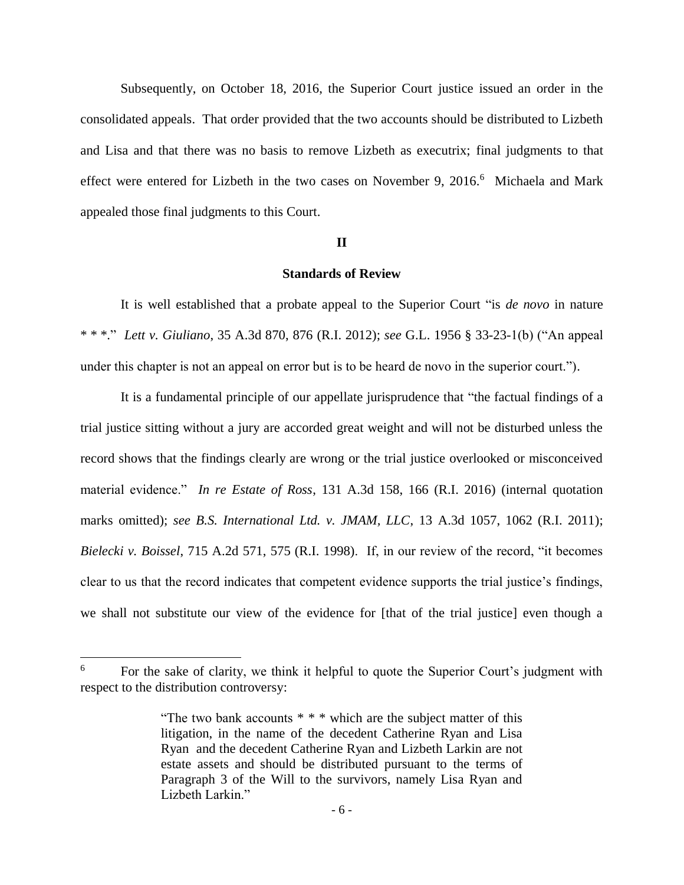Subsequently, on October 18, 2016, the Superior Court justice issued an order in the consolidated appeals. That order provided that the two accounts should be distributed to Lizbeth and Lisa and that there was no basis to remove Lizbeth as executrix; final judgments to that effect were entered for Lizbeth in the two cases on November 9, 2016.<sup>6</sup> Michaela and Mark appealed those final judgments to this Court.

#### **II**

## **Standards of Review**

It is well established that a probate appeal to the Superior Court "is *de novo* in nature \* \* \*." *Lett v. Giuliano*, 35 A.3d 870, 876 (R.I. 2012); *see* G.L. 1956 § 33-23-1(b) ("An appeal under this chapter is not an appeal on error but is to be heard de novo in the superior court.").

It is a fundamental principle of our appellate jurisprudence that "the factual findings of a trial justice sitting without a jury are accorded great weight and will not be disturbed unless the record shows that the findings clearly are wrong or the trial justice overlooked or misconceived material evidence." *In re Estate of Ross*, 131 A.3d 158, 166 (R.I. 2016) (internal quotation marks omitted); *see B.S. International Ltd. v. JMAM, LLC*, 13 A.3d 1057, 1062 (R.I. 2011); *Bielecki v. Boissel*, 715 A.2d 571, 575 (R.I. 1998). If, in our review of the record, "it becomes clear to us that the record indicates that competent evidence supports the trial justice's findings, we shall not substitute our view of the evidence for [that of the trial justice] even though a

<sup>&</sup>lt;sup>6</sup> For the sake of clarity, we think it helpful to quote the Superior Court's judgment with respect to the distribution controversy:

<sup>&</sup>quot;The two bank accounts \* \* \* which are the subject matter of this litigation, in the name of the decedent Catherine Ryan and Lisa Ryan and the decedent Catherine Ryan and Lizbeth Larkin are not estate assets and should be distributed pursuant to the terms of Paragraph 3 of the Will to the survivors, namely Lisa Ryan and Lizbeth Larkin<sup>"</sup>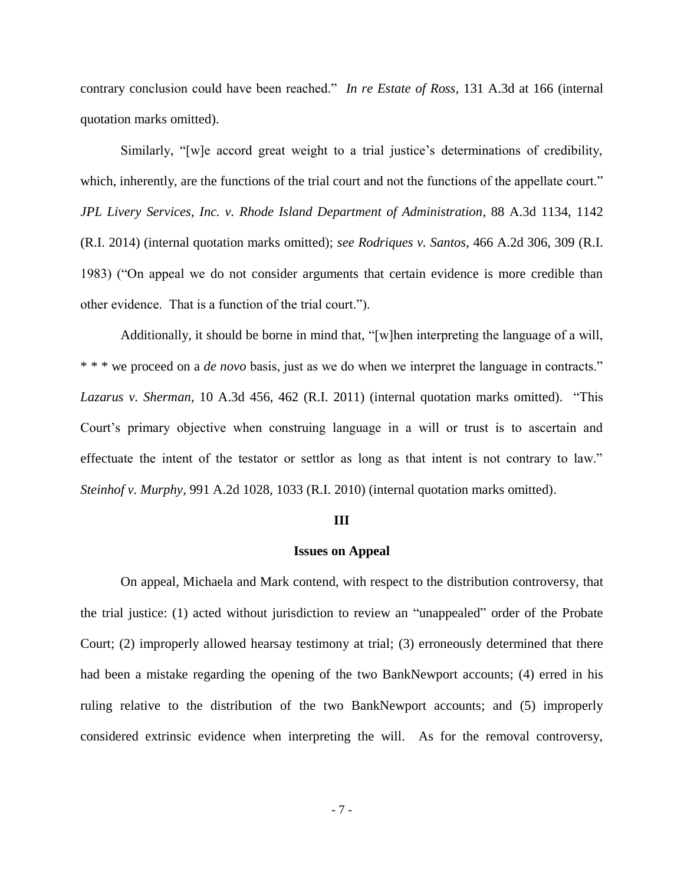contrary conclusion could have been reached." *In re Estate of Ross*, 131 A.3d at 166 (internal quotation marks omitted).

Similarly, "[w]e accord great weight to a trial justice's determinations of credibility, which, inherently, are the functions of the trial court and not the functions of the appellate court." *JPL Livery Services, Inc. v. Rhode Island Department of Administration*, 88 A.3d 1134, 1142 (R.I. 2014) (internal quotation marks omitted); *see Rodriques v. Santos*, 466 A.2d 306, 309 (R.I. 1983) ("On appeal we do not consider arguments that certain evidence is more credible than other evidence. That is a function of the trial court.").

Additionally, it should be borne in mind that, "[w]hen interpreting the language of a will, \* \* \* we proceed on a *de novo* basis, just as we do when we interpret the language in contracts." *Lazarus v. Sherman*, 10 A.3d 456, 462 (R.I. 2011) (internal quotation marks omitted). "This Court's primary objective when construing language in a will or trust is to ascertain and effectuate the intent of the testator or settlor as long as that intent is not contrary to law." *Steinhof v. Murphy*, 991 A.2d 1028, 1033 (R.I. 2010) (internal quotation marks omitted).

#### **III**

#### **Issues on Appeal**

On appeal, Michaela and Mark contend, with respect to the distribution controversy, that the trial justice: (1) acted without jurisdiction to review an "unappealed" order of the Probate Court; (2) improperly allowed hearsay testimony at trial; (3) erroneously determined that there had been a mistake regarding the opening of the two BankNewport accounts; (4) erred in his ruling relative to the distribution of the two BankNewport accounts; and (5) improperly considered extrinsic evidence when interpreting the will. As for the removal controversy,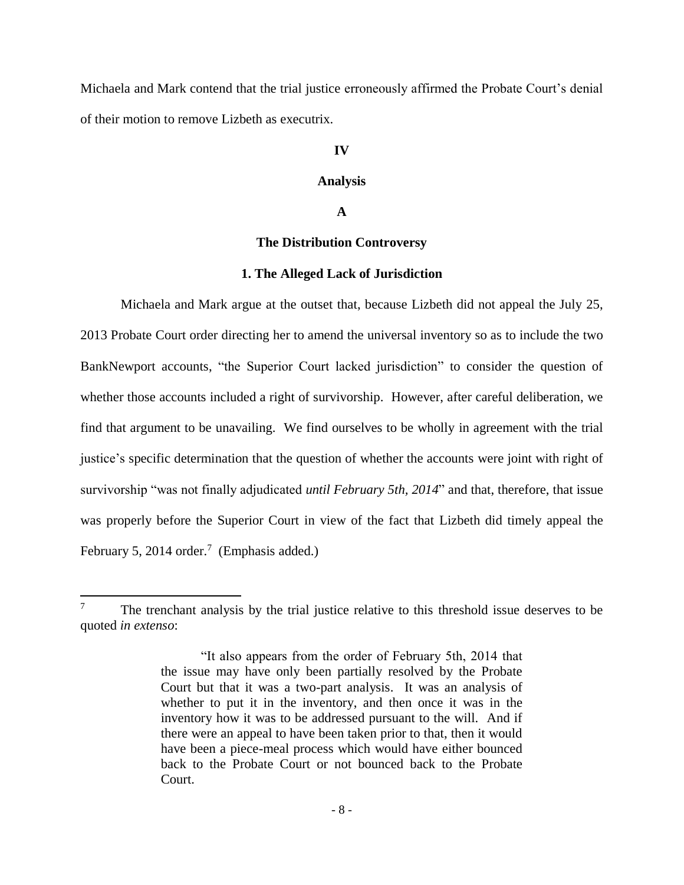Michaela and Mark contend that the trial justice erroneously affirmed the Probate Court's denial of their motion to remove Lizbeth as executrix.

# **IV**

# **Analysis**

# **A**

# **The Distribution Controversy**

#### **1. The Alleged Lack of Jurisdiction**

Michaela and Mark argue at the outset that, because Lizbeth did not appeal the July 25, 2013 Probate Court order directing her to amend the universal inventory so as to include the two BankNewport accounts, "the Superior Court lacked jurisdiction" to consider the question of whether those accounts included a right of survivorship. However, after careful deliberation, we find that argument to be unavailing. We find ourselves to be wholly in agreement with the trial justice's specific determination that the question of whether the accounts were joint with right of survivorship "was not finally adjudicated *until February 5th, 2014*" and that, therefore, that issue was properly before the Superior Court in view of the fact that Lizbeth did timely appeal the February 5, 2014 order.<sup>7</sup> (Emphasis added.)

 $7\degree$  The trenchant analysis by the trial justice relative to this threshold issue deserves to be quoted *in extenso*:

<sup>&</sup>quot;It also appears from the order of February 5th, 2014 that the issue may have only been partially resolved by the Probate Court but that it was a two-part analysis. It was an analysis of whether to put it in the inventory, and then once it was in the inventory how it was to be addressed pursuant to the will. And if there were an appeal to have been taken prior to that, then it would have been a piece-meal process which would have either bounced back to the Probate Court or not bounced back to the Probate Court.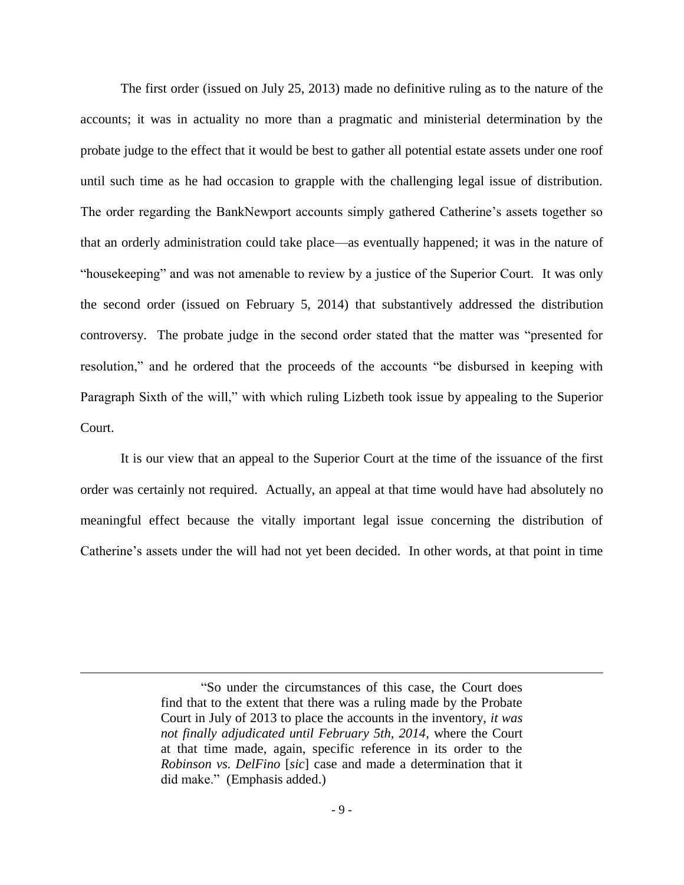The first order (issued on July 25, 2013) made no definitive ruling as to the nature of the accounts; it was in actuality no more than a pragmatic and ministerial determination by the probate judge to the effect that it would be best to gather all potential estate assets under one roof until such time as he had occasion to grapple with the challenging legal issue of distribution. The order regarding the BankNewport accounts simply gathered Catherine's assets together so that an orderly administration could take place—as eventually happened; it was in the nature of "housekeeping" and was not amenable to review by a justice of the Superior Court. It was only the second order (issued on February 5, 2014) that substantively addressed the distribution controversy. The probate judge in the second order stated that the matter was "presented for resolution," and he ordered that the proceeds of the accounts "be disbursed in keeping with Paragraph Sixth of the will," with which ruling Lizbeth took issue by appealing to the Superior Court.

It is our view that an appeal to the Superior Court at the time of the issuance of the first order was certainly not required. Actually, an appeal at that time would have had absolutely no meaningful effect because the vitally important legal issue concerning the distribution of Catherine's assets under the will had not yet been decided. In other words, at that point in time

<sup>&</sup>quot;So under the circumstances of this case, the Court does find that to the extent that there was a ruling made by the Probate Court in July of 2013 to place the accounts in the inventory, *it was not finally adjudicated until February 5th, 2014*, where the Court at that time made, again, specific reference in its order to the *Robinson vs. DelFino* [*sic*] case and made a determination that it did make." (Emphasis added.)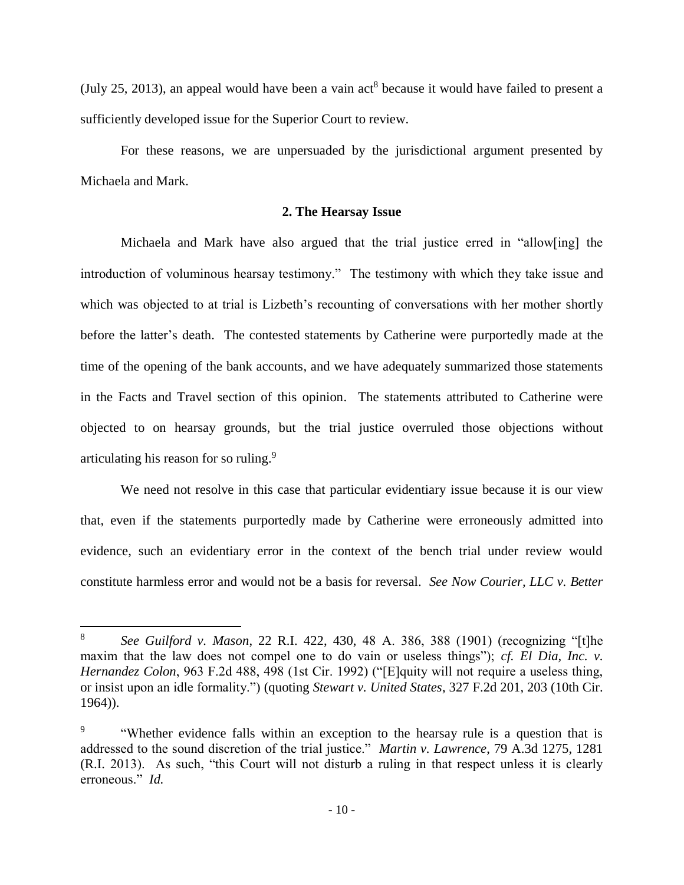(July 25, 2013), an appeal would have been a vain  $act<sup>8</sup>$  because it would have failed to present a sufficiently developed issue for the Superior Court to review.

For these reasons, we are unpersuaded by the jurisdictional argument presented by Michaela and Mark.

# **2. The Hearsay Issue**

Michaela and Mark have also argued that the trial justice erred in "allow[ing] the introduction of voluminous hearsay testimony." The testimony with which they take issue and which was objected to at trial is Lizbeth's recounting of conversations with her mother shortly before the latter's death. The contested statements by Catherine were purportedly made at the time of the opening of the bank accounts, and we have adequately summarized those statements in the Facts and Travel section of this opinion. The statements attributed to Catherine were objected to on hearsay grounds, but the trial justice overruled those objections without articulating his reason for so ruling.<sup>9</sup>

We need not resolve in this case that particular evidentiary issue because it is our view that, even if the statements purportedly made by Catherine were erroneously admitted into evidence, such an evidentiary error in the context of the bench trial under review would constitute harmless error and would not be a basis for reversal. *See Now Courier, LLC v. Better* 

l

<sup>8</sup> *See Guilford v. Mason*, 22 R.I. 422, 430, 48 A. 386, 388 (1901) (recognizing "[t]he maxim that the law does not compel one to do vain or useless things"); *cf. El Dia, Inc. v. Hernandez Colon*, 963 F.2d 488, 498 (1st Cir. 1992) ("[E]quity will not require a useless thing, or insist upon an idle formality.") (quoting *Stewart v. United States*, 327 F.2d 201, 203 (10th Cir. 1964)).

<sup>9</sup> "Whether evidence falls within an exception to the hearsay rule is a question that is addressed to the sound discretion of the trial justice." *Martin v. Lawrence*, 79 A.3d 1275, 1281 (R.I. 2013). As such, "this Court will not disturb a ruling in that respect unless it is clearly erroneous." *Id.*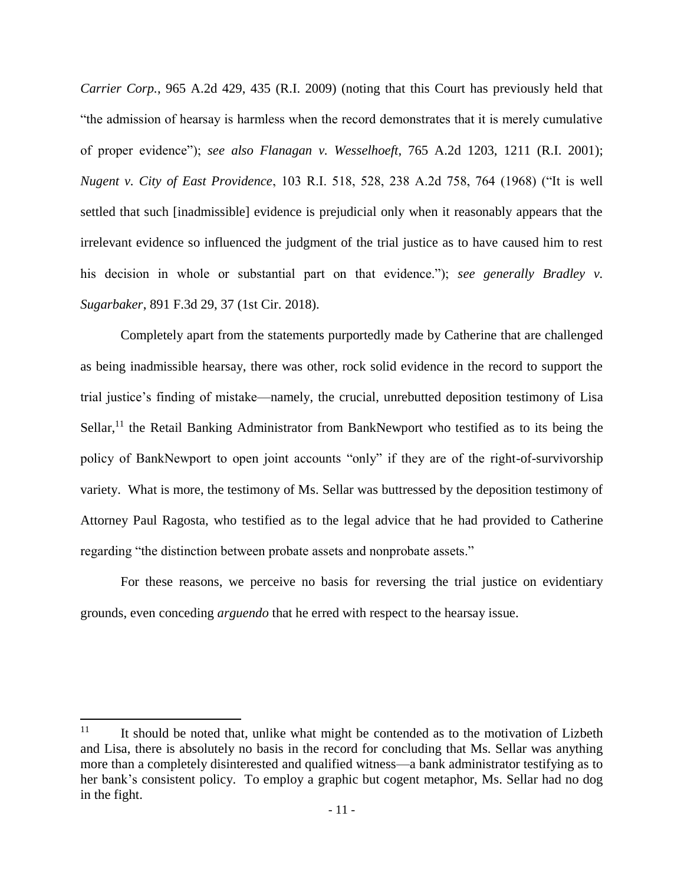*Carrier Corp.*, 965 A.2d 429, 435 (R.I. 2009) (noting that this Court has previously held that "the admission of hearsay is harmless when the record demonstrates that it is merely cumulative of proper evidence"); *see also Flanagan v. Wesselhoeft*, 765 A.2d 1203, 1211 (R.I. 2001); *Nugent v. City of East Providence*, 103 R.I. 518, 528, 238 A.2d 758, 764 (1968) ("It is well settled that such [inadmissible] evidence is prejudicial only when it reasonably appears that the irrelevant evidence so influenced the judgment of the trial justice as to have caused him to rest his decision in whole or substantial part on that evidence."); *see generally Bradley v. Sugarbaker*, 891 F.3d 29, 37 (1st Cir. 2018).

Completely apart from the statements purportedly made by Catherine that are challenged as being inadmissible hearsay, there was other, rock solid evidence in the record to support the trial justice's finding of mistake—namely, the crucial, unrebutted deposition testimony of Lisa Sellar,<sup>11</sup> the Retail Banking Administrator from BankNewport who testified as to its being the policy of BankNewport to open joint accounts "only" if they are of the right-of-survivorship variety. What is more, the testimony of Ms. Sellar was buttressed by the deposition testimony of Attorney Paul Ragosta, who testified as to the legal advice that he had provided to Catherine regarding "the distinction between probate assets and nonprobate assets."

For these reasons, we perceive no basis for reversing the trial justice on evidentiary grounds, even conceding *arguendo* that he erred with respect to the hearsay issue.

 $\overline{a}$ 

 $11$  It should be noted that, unlike what might be contended as to the motivation of Lizbeth and Lisa, there is absolutely no basis in the record for concluding that Ms. Sellar was anything more than a completely disinterested and qualified witness—a bank administrator testifying as to her bank's consistent policy. To employ a graphic but cogent metaphor, Ms. Sellar had no dog in the fight.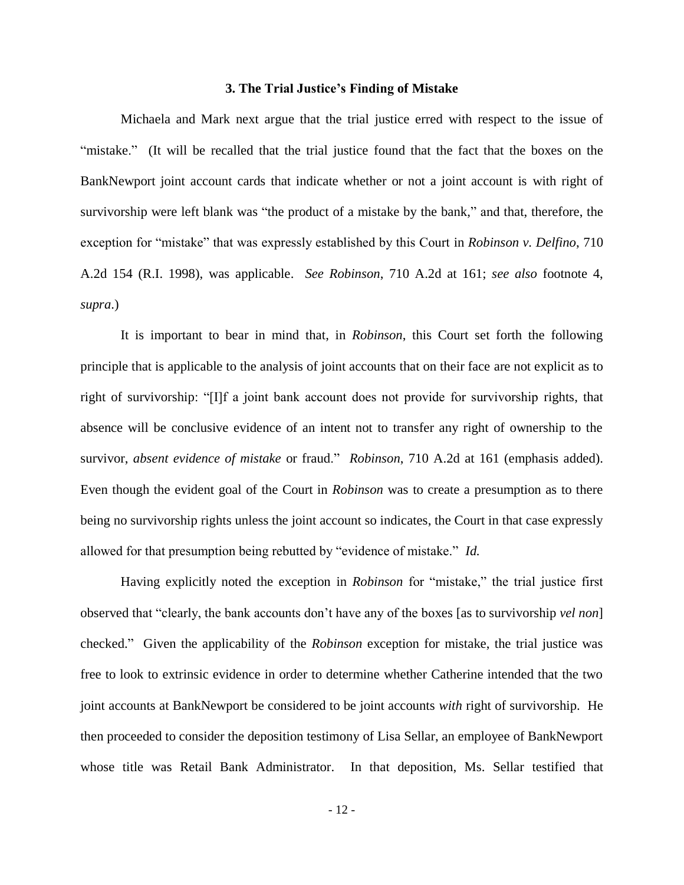#### **3. The Trial Justice's Finding of Mistake**

Michaela and Mark next argue that the trial justice erred with respect to the issue of "mistake." (It will be recalled that the trial justice found that the fact that the boxes on the BankNewport joint account cards that indicate whether or not a joint account is with right of survivorship were left blank was "the product of a mistake by the bank," and that, therefore, the exception for "mistake" that was expressly established by this Court in *Robinson v. Delfino*, 710 A.2d 154 (R.I. 1998), was applicable. *See Robinson*, 710 A.2d at 161; *see also* footnote 4, *supra*.)

It is important to bear in mind that, in *Robinson*, this Court set forth the following principle that is applicable to the analysis of joint accounts that on their face are not explicit as to right of survivorship: "[I]f a joint bank account does not provide for survivorship rights, that absence will be conclusive evidence of an intent not to transfer any right of ownership to the survivor, *absent evidence of mistake* or fraud." *Robinson*, 710 A.2d at 161 (emphasis added). Even though the evident goal of the Court in *Robinson* was to create a presumption as to there being no survivorship rights unless the joint account so indicates, the Court in that case expressly allowed for that presumption being rebutted by "evidence of mistake." *Id.*

Having explicitly noted the exception in *Robinson* for "mistake," the trial justice first observed that "clearly, the bank accounts don't have any of the boxes [as to survivorship *vel non*] checked." Given the applicability of the *Robinson* exception for mistake, the trial justice was free to look to extrinsic evidence in order to determine whether Catherine intended that the two joint accounts at BankNewport be considered to be joint accounts *with* right of survivorship. He then proceeded to consider the deposition testimony of Lisa Sellar, an employee of BankNewport whose title was Retail Bank Administrator. In that deposition, Ms. Sellar testified that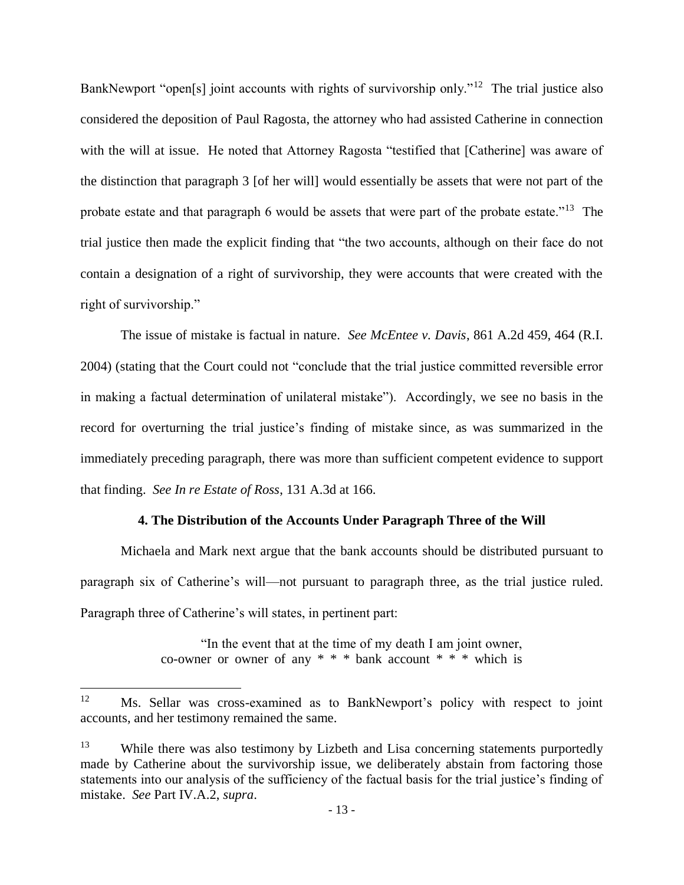BankNewport "open[s] joint accounts with rights of survivorship only."<sup>12</sup> The trial justice also considered the deposition of Paul Ragosta, the attorney who had assisted Catherine in connection with the will at issue. He noted that Attorney Ragosta "testified that [Catherine] was aware of the distinction that paragraph 3 [of her will] would essentially be assets that were not part of the probate estate and that paragraph 6 would be assets that were part of the probate estate."<sup>13</sup> The trial justice then made the explicit finding that "the two accounts, although on their face do not contain a designation of a right of survivorship, they were accounts that were created with the right of survivorship."

The issue of mistake is factual in nature. *See McEntee v. Davis*, 861 A.2d 459, 464 (R.I. 2004) (stating that the Court could not "conclude that the trial justice committed reversible error in making a factual determination of unilateral mistake"). Accordingly, we see no basis in the record for overturning the trial justice's finding of mistake since, as was summarized in the immediately preceding paragraph, there was more than sufficient competent evidence to support that finding. *See In re Estate of Ross*, 131 A.3d at 166.

## **4. The Distribution of the Accounts Under Paragraph Three of the Will**

Michaela and Mark next argue that the bank accounts should be distributed pursuant to paragraph six of Catherine's will—not pursuant to paragraph three, as the trial justice ruled. Paragraph three of Catherine's will states, in pertinent part:

> "In the event that at the time of my death I am joint owner, co-owner or owner of any  $* * *$  bank account  $* * *$  which is

<sup>12</sup> Ms. Sellar was cross-examined as to BankNewport's policy with respect to joint accounts, and her testimony remained the same.

<sup>&</sup>lt;sup>13</sup> While there was also testimony by Lizbeth and Lisa concerning statements purportedly made by Catherine about the survivorship issue, we deliberately abstain from factoring those statements into our analysis of the sufficiency of the factual basis for the trial justice's finding of mistake. *See* Part IV.A.2, *supra*.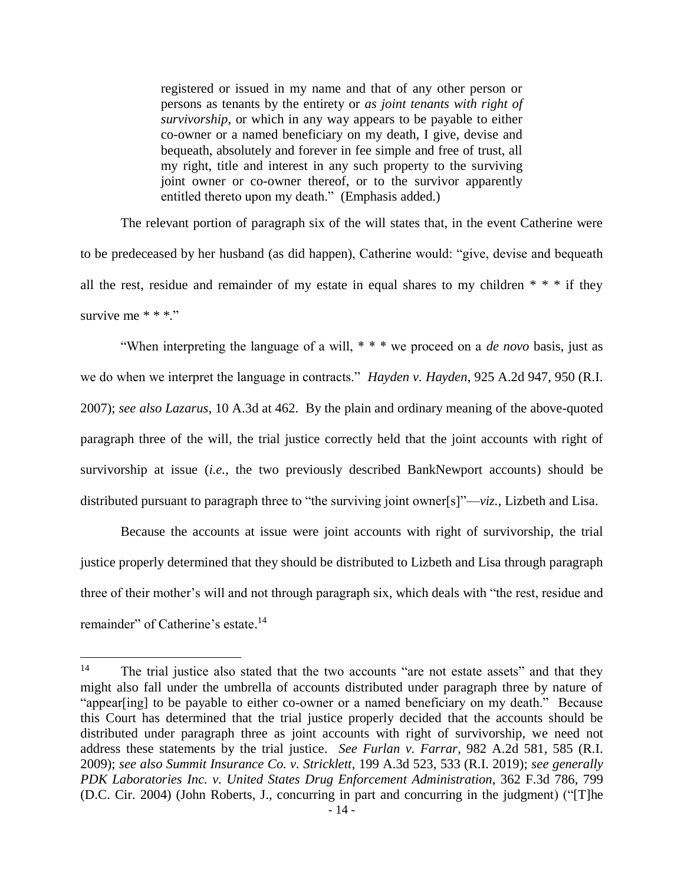registered or issued in my name and that of any other person or persons as tenants by the entirety or *as joint tenants with right of survivorship*, or which in any way appears to be payable to either co-owner or a named beneficiary on my death, I give, devise and bequeath, absolutely and forever in fee simple and free of trust, all my right, title and interest in any such property to the surviving joint owner or co-owner thereof, or to the survivor apparently entitled thereto upon my death." (Emphasis added.)

The relevant portion of paragraph six of the will states that, in the event Catherine were to be predeceased by her husband (as did happen), Catherine would: "give, devise and bequeath all the rest, residue and remainder of my estate in equal shares to my children  $* * *$  if they survive me  $**$ ."

"When interpreting the language of a will, \* \* \* we proceed on a *de novo* basis, just as we do when we interpret the language in contracts." *Hayden v. Hayden*, 925 A.2d 947, 950 (R.I. 2007); *see also Lazarus*, 10 A.3d at 462.By the plain and ordinary meaning of the above-quoted paragraph three of the will, the trial justice correctly held that the joint accounts with right of survivorship at issue (*i.e.*, the two previously described BankNewport accounts) should be distributed pursuant to paragraph three to "the surviving joint owner[s]"—*viz.*, Lizbeth and Lisa.

Because the accounts at issue were joint accounts with right of survivorship, the trial justice properly determined that they should be distributed to Lizbeth and Lisa through paragraph three of their mother's will and not through paragraph six, which deals with "the rest, residue and remainder" of Catherine's estate.<sup>14</sup>

<sup>&</sup>lt;sup>14</sup> The trial justice also stated that the two accounts "are not estate assets" and that they might also fall under the umbrella of accounts distributed under paragraph three by nature of "appear[ing] to be payable to either co-owner or a named beneficiary on my death." Because this Court has determined that the trial justice properly decided that the accounts should be distributed under paragraph three as joint accounts with right of survivorship, we need not address these statements by the trial justice. *See Furlan v. Farrar*, 982 A.2d 581, 585 (R.I. 2009); *see also Summit Insurance Co. v. Stricklett*, 199 A.3d 523, 533 (R.I. 2019); *see generally PDK Laboratories Inc. v. United States Drug Enforcement Administration*, 362 F.3d 786, 799 (D.C. Cir. 2004) (John Roberts, J., concurring in part and concurring in the judgment) ("[T]he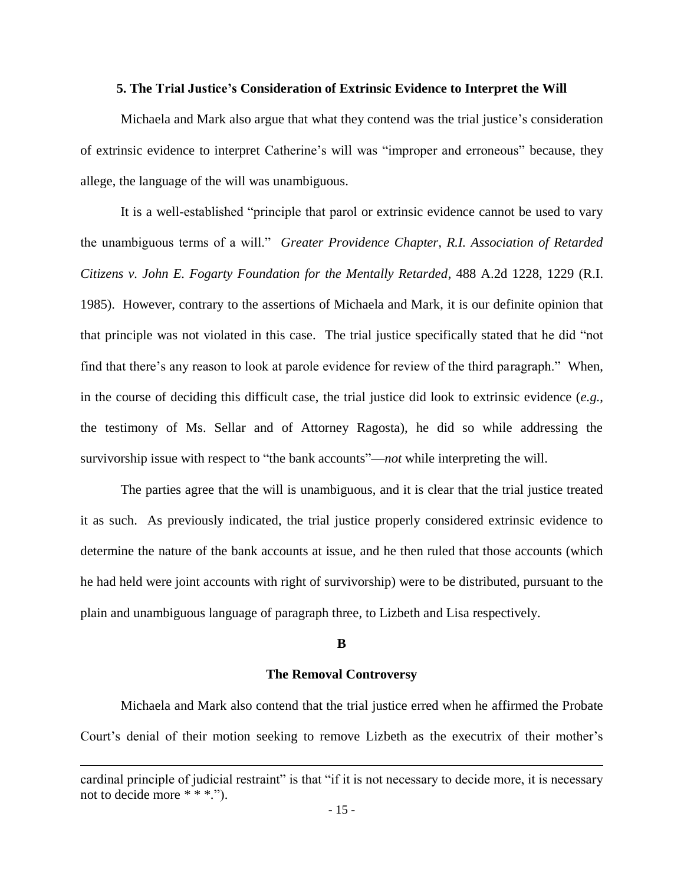## **5. The Trial Justice's Consideration of Extrinsic Evidence to Interpret the Will**

Michaela and Mark also argue that what they contend was the trial justice's consideration of extrinsic evidence to interpret Catherine's will was "improper and erroneous" because, they allege, the language of the will was unambiguous.

It is a well-established "principle that parol or extrinsic evidence cannot be used to vary the unambiguous terms of a will." *Greater Providence Chapter, R.I. Association of Retarded Citizens v. John E. Fogarty Foundation for the Mentally Retarded*, 488 A.2d 1228, 1229 (R.I. 1985). However, contrary to the assertions of Michaela and Mark, it is our definite opinion that that principle was not violated in this case. The trial justice specifically stated that he did "not find that there's any reason to look at parole evidence for review of the third paragraph." When, in the course of deciding this difficult case, the trial justice did look to extrinsic evidence (*e.g.*, the testimony of Ms. Sellar and of Attorney Ragosta), he did so while addressing the survivorship issue with respect to "the bank accounts"—*not* while interpreting the will.

The parties agree that the will is unambiguous, and it is clear that the trial justice treated it as such. As previously indicated, the trial justice properly considered extrinsic evidence to determine the nature of the bank accounts at issue, and he then ruled that those accounts (which he had held were joint accounts with right of survivorship) were to be distributed, pursuant to the plain and unambiguous language of paragraph three, to Lizbeth and Lisa respectively.

### **B**

#### **The Removal Controversy**

Michaela and Mark also contend that the trial justice erred when he affirmed the Probate Court's denial of their motion seeking to remove Lizbeth as the executrix of their mother's

cardinal principle of judicial restraint" is that "if it is not necessary to decide more, it is necessary not to decide more \* \* \*.").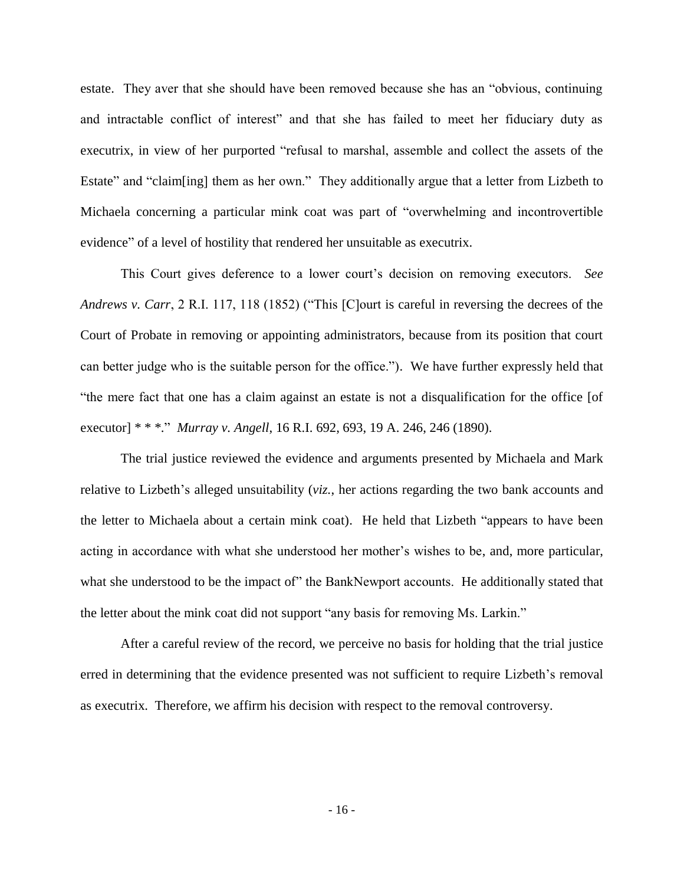estate. They aver that she should have been removed because she has an "obvious, continuing and intractable conflict of interest" and that she has failed to meet her fiduciary duty as executrix, in view of her purported "refusal to marshal, assemble and collect the assets of the Estate" and "claim[ing] them as her own." They additionally argue that a letter from Lizbeth to Michaela concerning a particular mink coat was part of "overwhelming and incontrovertible evidence" of a level of hostility that rendered her unsuitable as executrix.

This Court gives deference to a lower court's decision on removing executors. *See Andrews v. Carr*, 2 R.I. 117, 118 (1852) ("This [C]ourt is careful in reversing the decrees of the Court of Probate in removing or appointing administrators, because from its position that court can better judge who is the suitable person for the office."). We have further expressly held that "the mere fact that one has a claim against an estate is not a disqualification for the office [of executor] \* \* \*." *Murray v. Angell*, 16 R.I. 692, 693, 19 A. 246, 246 (1890).

The trial justice reviewed the evidence and arguments presented by Michaela and Mark relative to Lizbeth's alleged unsuitability (*viz.*, her actions regarding the two bank accounts and the letter to Michaela about a certain mink coat). He held that Lizbeth "appears to have been acting in accordance with what she understood her mother's wishes to be, and, more particular, what she understood to be the impact of" the BankNewport accounts. He additionally stated that the letter about the mink coat did not support "any basis for removing Ms. Larkin."

After a careful review of the record, we perceive no basis for holding that the trial justice erred in determining that the evidence presented was not sufficient to require Lizbeth's removal as executrix. Therefore, we affirm his decision with respect to the removal controversy.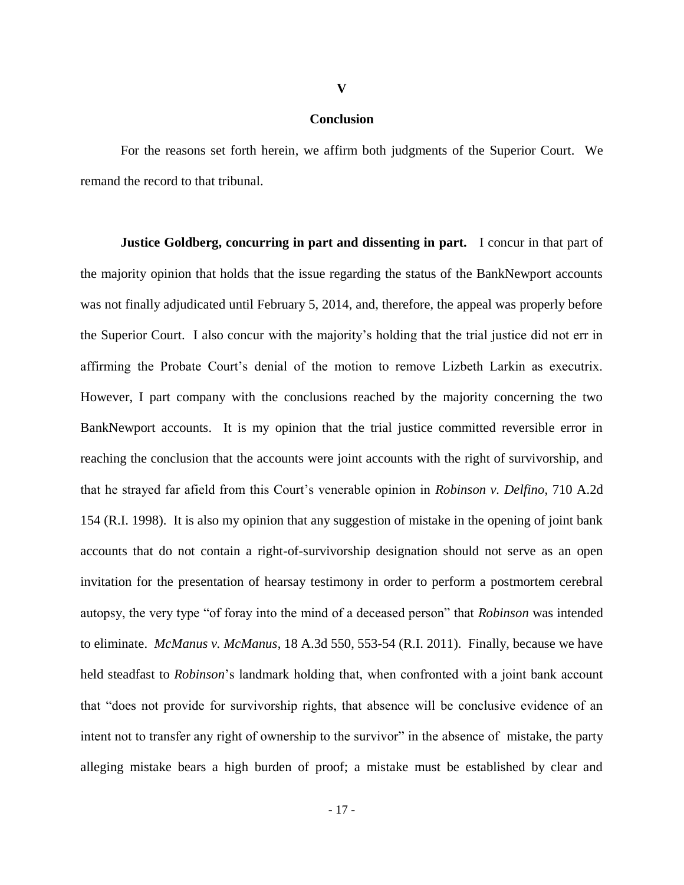#### **Conclusion**

**V**

For the reasons set forth herein, we affirm both judgments of the Superior Court. We remand the record to that tribunal.

**Justice Goldberg, concurring in part and dissenting in part.** I concur in that part of the majority opinion that holds that the issue regarding the status of the BankNewport accounts was not finally adjudicated until February 5, 2014, and, therefore, the appeal was properly before the Superior Court. I also concur with the majority's holding that the trial justice did not err in affirming the Probate Court's denial of the motion to remove Lizbeth Larkin as executrix. However, I part company with the conclusions reached by the majority concerning the two BankNewport accounts. It is my opinion that the trial justice committed reversible error in reaching the conclusion that the accounts were joint accounts with the right of survivorship, and that he strayed far afield from this Court's venerable opinion in *Robinson v. Delfino*, 710 A.2d 154 (R.I. 1998). It is also my opinion that any suggestion of mistake in the opening of joint bank accounts that do not contain a right-of-survivorship designation should not serve as an open invitation for the presentation of hearsay testimony in order to perform a postmortem cerebral autopsy, the very type "of foray into the mind of a deceased person" that *Robinson* was intended to eliminate. *McManus v. McManus*, 18 A.3d 550, 553-54 (R.I. 2011). Finally, because we have held steadfast to *Robinson*'s landmark holding that, when confronted with a joint bank account that "does not provide for survivorship rights, that absence will be conclusive evidence of an intent not to transfer any right of ownership to the survivor" in the absence of mistake, the party alleging mistake bears a high burden of proof; a mistake must be established by clear and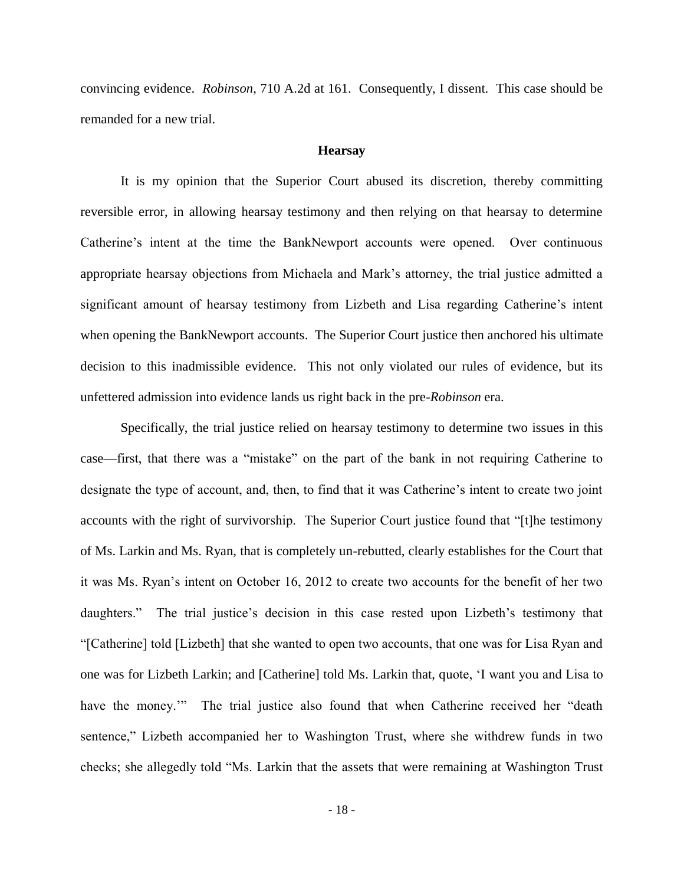convincing evidence. *Robinson*, 710 A.2d at 161. Consequently, I dissent. This case should be remanded for a new trial.

## **Hearsay**

It is my opinion that the Superior Court abused its discretion, thereby committing reversible error, in allowing hearsay testimony and then relying on that hearsay to determine Catherine's intent at the time the BankNewport accounts were opened. Over continuous appropriate hearsay objections from Michaela and Mark's attorney, the trial justice admitted a significant amount of hearsay testimony from Lizbeth and Lisa regarding Catherine's intent when opening the BankNewport accounts. The Superior Court justice then anchored his ultimate decision to this inadmissible evidence. This not only violated our rules of evidence, but its unfettered admission into evidence lands us right back in the pre-*Robinson* era.

Specifically, the trial justice relied on hearsay testimony to determine two issues in this case—first, that there was a "mistake" on the part of the bank in not requiring Catherine to designate the type of account, and, then, to find that it was Catherine's intent to create two joint accounts with the right of survivorship. The Superior Court justice found that "[t]he testimony of Ms. Larkin and Ms. Ryan, that is completely un-rebutted, clearly establishes for the Court that it was Ms. Ryan's intent on October 16, 2012 to create two accounts for the benefit of her two daughters." The trial justice's decision in this case rested upon Lizbeth's testimony that "[Catherine] told [Lizbeth] that she wanted to open two accounts, that one was for Lisa Ryan and one was for Lizbeth Larkin; and [Catherine] told Ms. Larkin that, quote, 'I want you and Lisa to have the money."" The trial justice also found that when Catherine received her "death sentence," Lizbeth accompanied her to Washington Trust, where she withdrew funds in two checks; she allegedly told "Ms. Larkin that the assets that were remaining at Washington Trust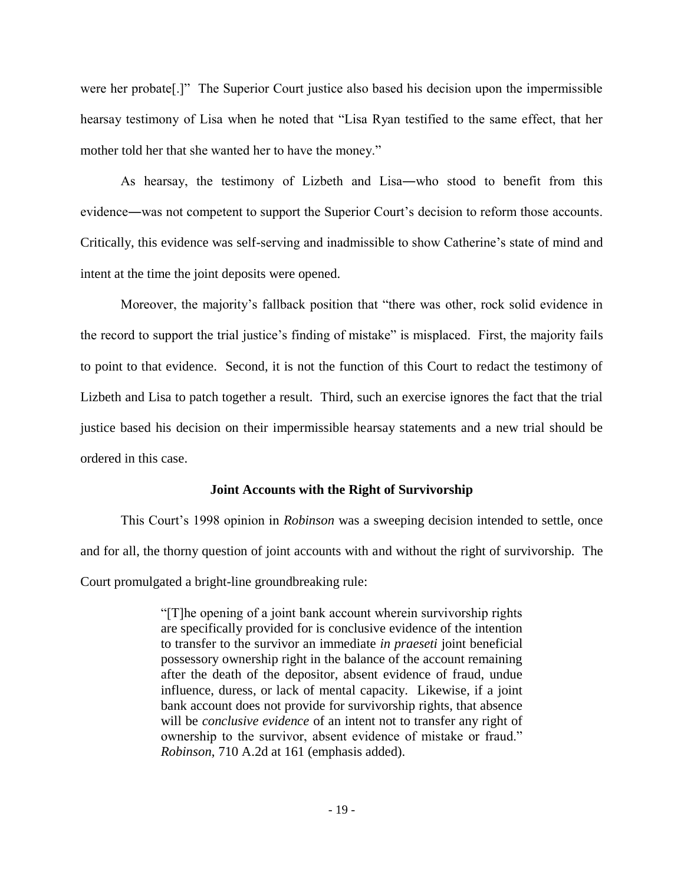were her probate[.]" The Superior Court justice also based his decision upon the impermissible hearsay testimony of Lisa when he noted that "Lisa Ryan testified to the same effect, that her mother told her that she wanted her to have the money."

As hearsay, the testimony of Lizbeth and Lisa―who stood to benefit from this evidence―was not competent to support the Superior Court's decision to reform those accounts. Critically, this evidence was self-serving and inadmissible to show Catherine's state of mind and intent at the time the joint deposits were opened.

Moreover, the majority's fallback position that "there was other, rock solid evidence in the record to support the trial justice's finding of mistake" is misplaced. First, the majority fails to point to that evidence. Second, it is not the function of this Court to redact the testimony of Lizbeth and Lisa to patch together a result. Third, such an exercise ignores the fact that the trial justice based his decision on their impermissible hearsay statements and a new trial should be ordered in this case.

# **Joint Accounts with the Right of Survivorship**

This Court's 1998 opinion in *Robinson* was a sweeping decision intended to settle, once and for all, the thorny question of joint accounts with and without the right of survivorship. The Court promulgated a bright-line groundbreaking rule:

> "[T]he opening of a joint bank account wherein survivorship rights are specifically provided for is conclusive evidence of the intention to transfer to the survivor an immediate *in praeseti* joint beneficial possessory ownership right in the balance of the account remaining after the death of the depositor, absent evidence of fraud, undue influence, duress, or lack of mental capacity. Likewise, if a joint bank account does not provide for survivorship rights, that absence will be *conclusive evidence* of an intent not to transfer any right of ownership to the survivor, absent evidence of mistake or fraud." *Robinson*, 710 A.2d at 161 (emphasis added).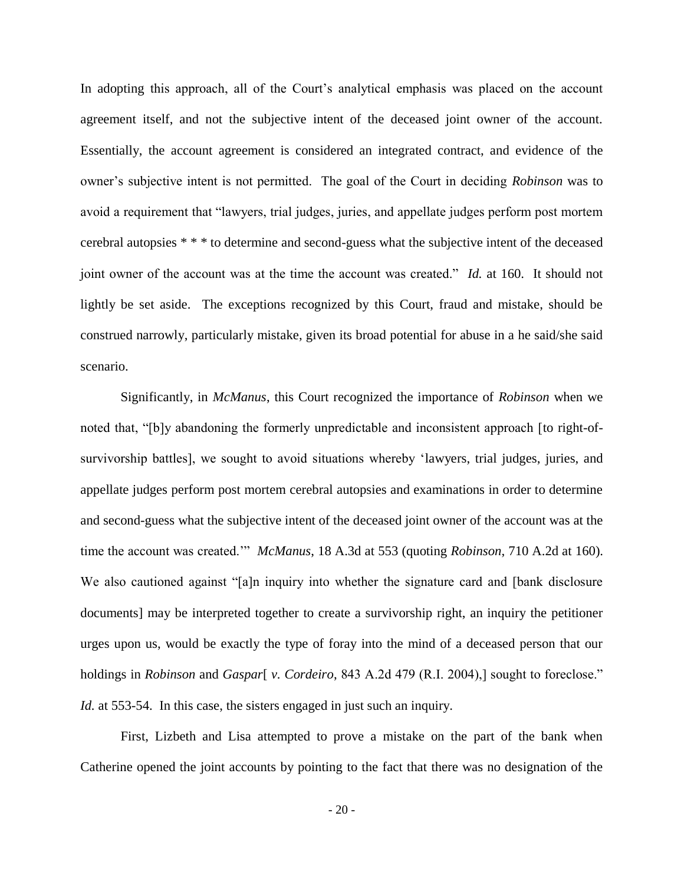In adopting this approach, all of the Court's analytical emphasis was placed on the account agreement itself, and not the subjective intent of the deceased joint owner of the account. Essentially, the account agreement is considered an integrated contract, and evidence of the owner's subjective intent is not permitted. The goal of the Court in deciding *Robinson* was to avoid a requirement that "lawyers, trial judges, juries, and appellate judges perform post mortem cerebral autopsies \* \* \* to determine and second-guess what the subjective intent of the deceased joint owner of the account was at the time the account was created." *Id.* at 160. It should not lightly be set aside. The exceptions recognized by this Court, fraud and mistake, should be construed narrowly, particularly mistake, given its broad potential for abuse in a he said/she said scenario.

Significantly, in *McManus*, this Court recognized the importance of *Robinson* when we noted that, "[b]y abandoning the formerly unpredictable and inconsistent approach [to right-ofsurvivorship battles], we sought to avoid situations whereby 'lawyers, trial judges, juries, and appellate judges perform post mortem cerebral autopsies and examinations in order to determine and second-guess what the subjective intent of the deceased joint owner of the account was at the time the account was created.'" *McManus*, 18 A.3d at 553 (quoting *Robinson*, 710 A.2d at 160). We also cautioned against "[a]n inquiry into whether the signature card and [bank disclosure documents] may be interpreted together to create a survivorship right, an inquiry the petitioner urges upon us, would be exactly the type of foray into the mind of a deceased person that our holdings in *Robinson* and *Gaspar*[ *v. Cordeiro*, 843 A.2d 479 (R.I. 2004),] sought to foreclose." *Id.* at 553-54. In this case, the sisters engaged in just such an inquiry.

First, Lizbeth and Lisa attempted to prove a mistake on the part of the bank when Catherine opened the joint accounts by pointing to the fact that there was no designation of the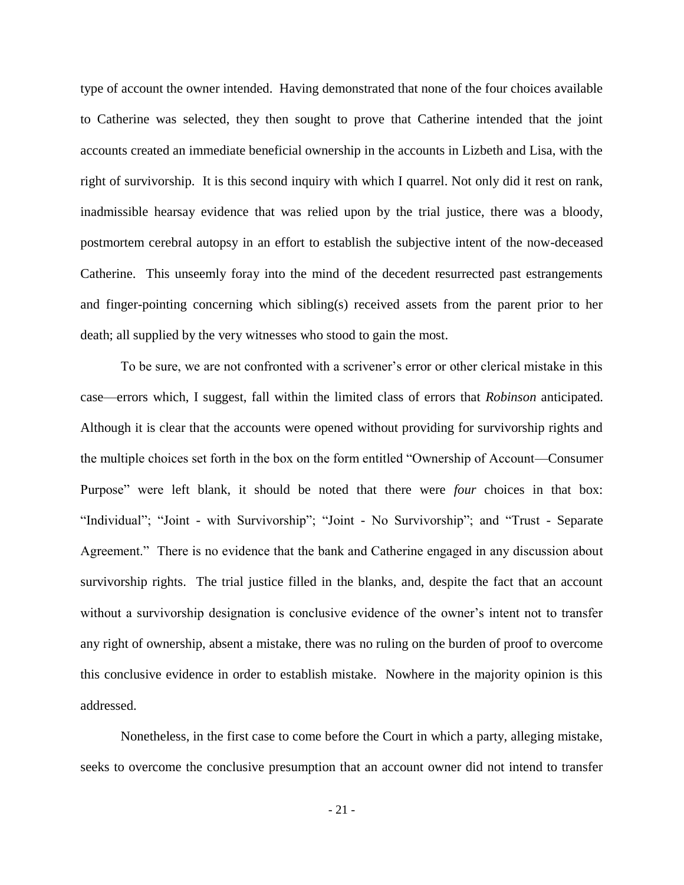type of account the owner intended. Having demonstrated that none of the four choices available to Catherine was selected, they then sought to prove that Catherine intended that the joint accounts created an immediate beneficial ownership in the accounts in Lizbeth and Lisa, with the right of survivorship. It is this second inquiry with which I quarrel. Not only did it rest on rank, inadmissible hearsay evidence that was relied upon by the trial justice, there was a bloody, postmortem cerebral autopsy in an effort to establish the subjective intent of the now-deceased Catherine. This unseemly foray into the mind of the decedent resurrected past estrangements and finger-pointing concerning which sibling(s) received assets from the parent prior to her death; all supplied by the very witnesses who stood to gain the most.

To be sure, we are not confronted with a scrivener's error or other clerical mistake in this case—errors which, I suggest, fall within the limited class of errors that *Robinson* anticipated. Although it is clear that the accounts were opened without providing for survivorship rights and the multiple choices set forth in the box on the form entitled "Ownership of Account—Consumer Purpose" were left blank, it should be noted that there were *four* choices in that box: "Individual"; "Joint - with Survivorship"; "Joint - No Survivorship"; and "Trust - Separate Agreement." There is no evidence that the bank and Catherine engaged in any discussion about survivorship rights. The trial justice filled in the blanks, and, despite the fact that an account without a survivorship designation is conclusive evidence of the owner's intent not to transfer any right of ownership, absent a mistake, there was no ruling on the burden of proof to overcome this conclusive evidence in order to establish mistake. Nowhere in the majority opinion is this addressed.

Nonetheless, in the first case to come before the Court in which a party, alleging mistake, seeks to overcome the conclusive presumption that an account owner did not intend to transfer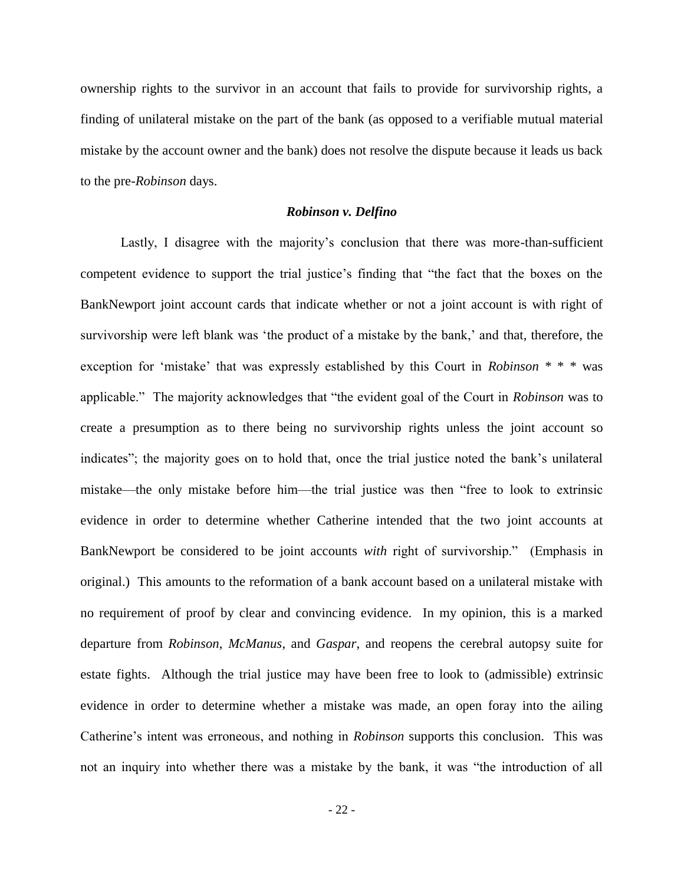ownership rights to the survivor in an account that fails to provide for survivorship rights, a finding of unilateral mistake on the part of the bank (as opposed to a verifiable mutual material mistake by the account owner and the bank) does not resolve the dispute because it leads us back to the pre-*Robinson* days.

# *Robinson v. Delfino*

Lastly, I disagree with the majority's conclusion that there was more-than-sufficient competent evidence to support the trial justice's finding that "the fact that the boxes on the BankNewport joint account cards that indicate whether or not a joint account is with right of survivorship were left blank was 'the product of a mistake by the bank,' and that, therefore, the exception for 'mistake' that was expressly established by this Court in *Robinson* \* \* \* was applicable." The majority acknowledges that "the evident goal of the Court in *Robinson* was to create a presumption as to there being no survivorship rights unless the joint account so indicates"; the majority goes on to hold that, once the trial justice noted the bank's unilateral mistake—the only mistake before him—the trial justice was then "free to look to extrinsic evidence in order to determine whether Catherine intended that the two joint accounts at BankNewport be considered to be joint accounts *with* right of survivorship." (Emphasis in original.) This amounts to the reformation of a bank account based on a unilateral mistake with no requirement of proof by clear and convincing evidence. In my opinion, this is a marked departure from *Robinson*, *McManus*, and *Gaspar*, and reopens the cerebral autopsy suite for estate fights. Although the trial justice may have been free to look to (admissible) extrinsic evidence in order to determine whether a mistake was made, an open foray into the ailing Catherine's intent was erroneous, and nothing in *Robinson* supports this conclusion. This was not an inquiry into whether there was a mistake by the bank, it was "the introduction of all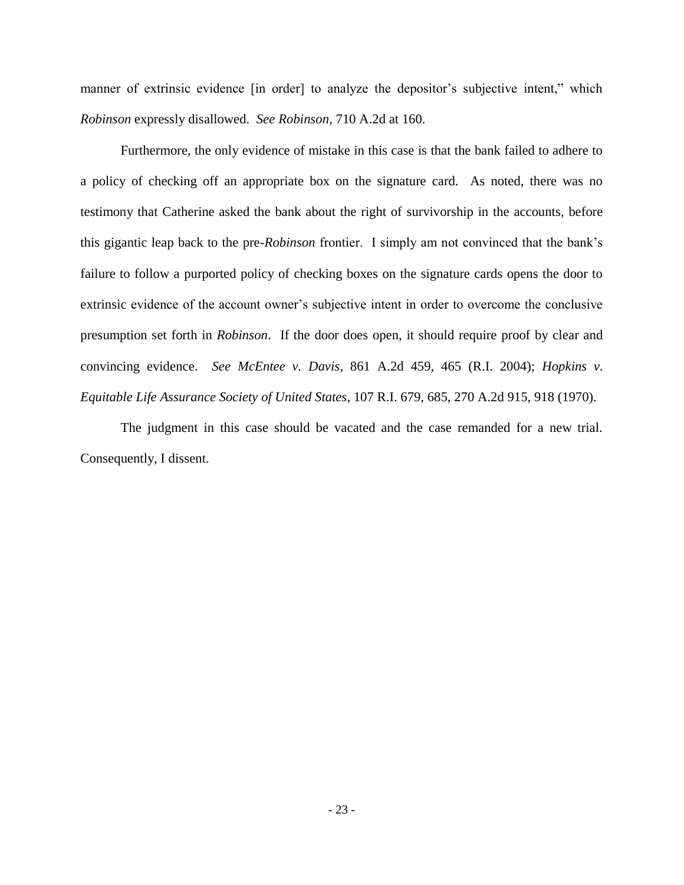manner of extrinsic evidence [in order] to analyze the depositor's subjective intent," which *Robinson* expressly disallowed. *See Robinson*, 710 A.2d at 160.

Furthermore, the only evidence of mistake in this case is that the bank failed to adhere to a policy of checking off an appropriate box on the signature card. As noted, there was no testimony that Catherine asked the bank about the right of survivorship in the accounts, before this gigantic leap back to the pre-*Robinson* frontier. I simply am not convinced that the bank's failure to follow a purported policy of checking boxes on the signature cards opens the door to extrinsic evidence of the account owner's subjective intent in order to overcome the conclusive presumption set forth in *Robinson*. If the door does open, it should require proof by clear and convincing evidence. *See McEntee v. Davis*, 861 A.2d 459, 465 (R.I. 2004); *Hopkins v. Equitable Life Assurance Society of United States*, 107 R.I. 679, 685, 270 A.2d 915, 918 (1970).

The judgment in this case should be vacated and the case remanded for a new trial. Consequently, I dissent.